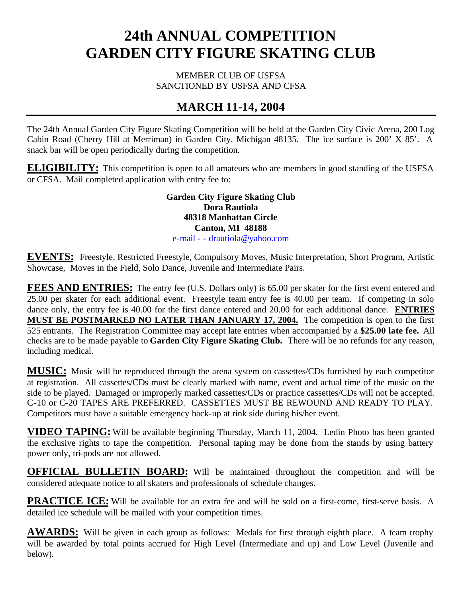# **24th ANNUAL COMPETITION GARDEN CITY FIGURE SKATING CLUB**

MEMBER CLUB OF USFSA SANCTIONED BY USFSA AND CFSA

# **MARCH 11-14, 2004**

The 24th Annual Garden City Figure Skating Competition will be held at the Garden City Civic Arena, 200 Log Cabin Road (Cherry Hill at Merriman) in Garden City, Michigan 48135. The ice surface is 200' X 85'. A snack bar will be open periodically during the competition.

**ELIGIBILITY:** This competition is open to all amateurs who are members in good standing of the USFSA or CFSA. Mail completed application with entry fee to:

> **Garden City Figure Skating Club Dora Rautiola 48318 Manhattan Circle Canton, MI 48188** e-mail - - drautiola@yahoo.com

**EVENTS:** Freestyle, Restricted Freestyle, Compulsory Moves, Music Interpretation, Short Program, Artistic Showcase, Moves in the Field, Solo Dance, Juvenile and Intermediate Pairs.

FEES AND ENTRIES: The entry fee (U.S. Dollars only) is 65.00 per skater for the first event entered and 25.00 per skater for each additional event. Freestyle team entry fee is 40.00 per team. If competing in solo dance only, the entry fee is 40.00 for the first dance entered and 20.00 for each additional dance. **ENTRIES MUST BE POSTMARKED NO LATER THAN JANUARY 17, 2004.** The competition is open to the first 525 entrants. The Registration Committee may accept late entries when accompanied by a **\$25.00 late fee.** All checks are to be made payable to **Garden City Figure Skating Club.** There will be no refunds for any reason, including medical.

**MUSIC:** Music will be reproduced through the arena system on cassettes/CDs furnished by each competitor at registration. All cassettes/CDs must be clearly marked with name, event and actual time of the music on the side to be played. Damaged or improperly marked cassettes/CDs or practice cassettes/CDs will not be accepted. C-10 or C-20 TAPES ARE PREFERRED. CASSETTES MUST BE REWOUND AND READY TO PLAY. Competitors must have a suitable emergency back-up at rink side during his/her event.

**VIDEO TAPING:** Will be available beginning Thursday, March 11, 2004. Ledin Photo has been granted the exclusive rights to tape the competition. Personal taping may be done from the stands by using battery power only, tri-pods are not allowed.

**OFFICIAL BULLETIN BOARD:** Will be maintained throughout the competition and will be considered adequate notice to all skaters and professionals of schedule changes.

**PRACTICE ICE:** Will be available for an extra fee and will be sold on a first-come, first-serve basis. A detailed ice schedule will be mailed with your competition times.

**AWARDS:** Will be given in each group as follows: Medals for first through eighth place. A team trophy will be awarded by total points accrued for High Level (Intermediate and up) and Low Level (Juvenile and below).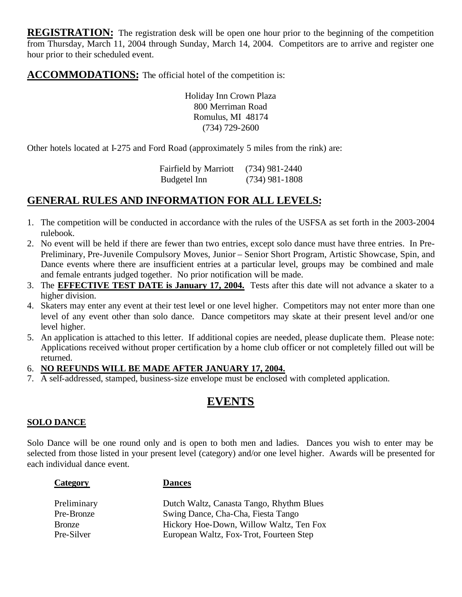**REGISTRATION:** The registration desk will be open one hour prior to the beginning of the competition from Thursday, March 11, 2004 through Sunday, March 14, 2004. Competitors are to arrive and register one hour prior to their scheduled event.

**ACCOMMODATIONS:** The official hotel of the competition is:

Holiday Inn Crown Plaza 800 Merriman Road Romulus, MI 48174 (734) 729-2600

Other hotels located at I-275 and Ford Road (approximately 5 miles from the rink) are:

| <b>Fairfield by Marriott</b> | $(734)$ 981-2440 |
|------------------------------|------------------|
| Budgetel Inn                 | $(734)$ 981-1808 |

# **GENERAL RULES AND INFORMATION FOR ALL LEVELS:**

- 1. The competition will be conducted in accordance with the rules of the USFSA as set forth in the 2003-2004 rulebook.
- 2. No event will be held if there are fewer than two entries, except solo dance must have three entries. In Pre-Preliminary, Pre-Juvenile Compulsory Moves, Junior – Senior Short Program, Artistic Showcase, Spin, and Dance events where there are insufficient entries at a particular level, groups may be combined and male and female entrants judged together. No prior notification will be made.
- 3. The **EFFECTIVE TEST DATE is January 17, 2004.** Tests after this date will not advance a skater to a higher division.
- 4. Skaters may enter any event at their test level or one level higher. Competitors may not enter more than one level of any event other than solo dance. Dance competitors may skate at their present level and/or one level higher.
- 5. An application is attached to this letter. If additional copies are needed, please duplicate them. Please note: Applications received without proper certification by a home club officer or not completely filled out will be returned.

### 6. **NO REFUNDS WILL BE MADE AFTER JANUARY 17, 2004.**

7. A self-addressed, stamped, business-size envelope must be enclosed with completed application.

# **EVENTS**

### **SOLO DANCE**

Solo Dance will be one round only and is open to both men and ladies. Dances you wish to enter may be selected from those listed in your present level (category) and/or one level higher. Awards will be presented for each individual dance event.

| ategory |
|---------|
|---------|

#### **Dances**

| Preliminary   | Dutch Waltz, Canasta Tango, Rhythm Blues |
|---------------|------------------------------------------|
| Pre-Bronze    | Swing Dance, Cha-Cha, Fiesta Tango       |
| <b>Bronze</b> | Hickory Hoe-Down, Willow Waltz, Ten Fox  |
| Pre-Silver    | European Waltz, Fox-Trot, Fourteen Step  |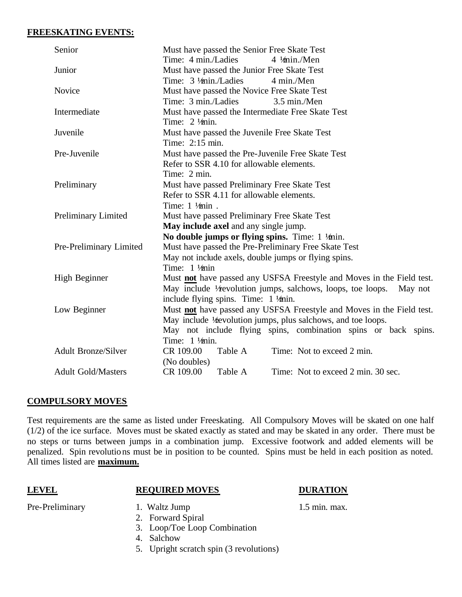#### **FREESKATING EVENTS:**

| Senior                     | Must have passed the Senior Free Skate Test                                  |  |  |
|----------------------------|------------------------------------------------------------------------------|--|--|
|                            | Time: 4 min./Ladies<br>$4 \frac{1}{2}$ min./Men                              |  |  |
| Junior                     | Must have passed the Junior Free Skate Test                                  |  |  |
|                            | Time: 3 1/min./Ladies<br>4 min./Men                                          |  |  |
| Novice                     | Must have passed the Novice Free Skate Test                                  |  |  |
|                            | Time: 3 min./Ladies<br>3.5 min./Men                                          |  |  |
| Intermediate               | Must have passed the Intermediate Free Skate Test                            |  |  |
|                            | Time: $2 \frac{1}{\text{min}}$ .                                             |  |  |
| Juvenile                   | Must have passed the Juvenile Free Skate Test                                |  |  |
|                            | Time: 2:15 min.                                                              |  |  |
| Pre-Juvenile               | Must have passed the Pre-Juvenile Free Skate Test                            |  |  |
|                            | Refer to SSR 4.10 for allowable elements.                                    |  |  |
|                            | Time: 2 min.                                                                 |  |  |
| Preliminary                | Must have passed Preliminary Free Skate Test                                 |  |  |
|                            | Refer to SSR 4.11 for allowable elements.                                    |  |  |
|                            | Time: $1 \frac{1}{2}$ in.                                                    |  |  |
| Preliminary Limited        | Must have passed Preliminary Free Skate Test                                 |  |  |
|                            | May include axel and any single jump.                                        |  |  |
|                            | No double jumps or flying spins. Time: $1 \frac{1}{2}$ min.                  |  |  |
| Pre-Preliminary Limited    | Must have passed the Pre-Preliminary Free Skate Test                         |  |  |
|                            | May not include axels, double jumps or flying spins.                         |  |  |
|                            | Time: $1 \frac{1}{2}$ min                                                    |  |  |
| High Beginner              | Must <b>not</b> have passed any USFSA Freestyle and Moves in the Field test. |  |  |
|                            | May include V revolution jumps, salchows, loops, toe loops. May not          |  |  |
|                            | include flying spins. Time: $1 \frac{1}{2}$ min.                             |  |  |
| Low Beginner               | Must not have passed any USFSA Freestyle and Moves in the Field test.        |  |  |
|                            | May include ½ evolution jumps, plus salchows, and toe loops.                 |  |  |
|                            | May not include flying spins, combination spins or back spins.               |  |  |
|                            | Time: $1 \frac{1}{2}$ min.                                                   |  |  |
| <b>Adult Bronze/Silver</b> | CR 109.00<br>Table A<br>Time: Not to exceed 2 min.                           |  |  |
|                            | (No doubles)                                                                 |  |  |
| <b>Adult Gold/Masters</b>  | CR 109.00<br>Time: Not to exceed 2 min. 30 sec.<br>Table A                   |  |  |

### **COMPULSORY MOVES**

Test requirements are the same as listed under Freeskating. All Compulsory Moves will be skated on one half (1/2) of the ice surface. Moves must be skated exactly as stated and may be skated in any order. There must be no steps or turns between jumps in a combination jump. Excessive footwork and added elements will be penalized. Spin revolutions must be in position to be counted. Spins must be held in each position as noted. All times listed are **maximum.**

### **LEVEL REQUIRED MOVES DURATION**

- Pre-Preliminary 1. Waltz Jump 1.5 min. max.
	- 2. Forward Spiral
	- 3. Loop/Toe Loop Combination
	- 4. Salchow
	- 5. Upright scratch spin (3 revolutions)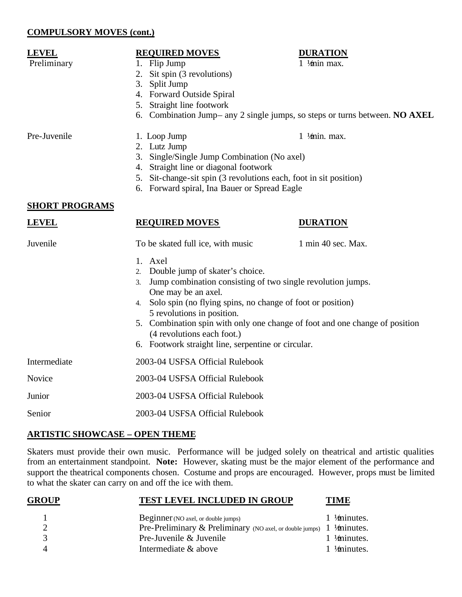#### **COMPULSORY MOVES (cont.)**

# **LEVEL**<br> **REQUIRED MOVES**<br> **DURATION**<br> **DURATION**<br> **DURATION**<br> **DURATION**<br> **DURATION**

- Preliminary 1. Flip Jump
	- 2. Sit spin (3 revolutions)
	- 3. Split Jump
	- 4. Forward Outside Spiral
	- 5. Straight line footwork
	- 6. Combination Jump– any 2 single jumps, so steps or turns between. **NO AXEL**

- 
- Pre-Juvenile 1. Loop Jump 1 ½ min. max.
	- 2. Lutz Jump
	- 3. Single/Single Jump Combination (No axel)
	- 4. Straight line or diagonal footwork
	- 5. Sit-change-sit spin (3 revolutions each, foot in sit position)
	- 6. Forward spiral, Ina Bauer or Spread Eagle

#### **SHORT PROGRAMS**

# **LEVEL REQUIRED MOVES DURATION**

Juvenile To be skated full ice, with music 1 min 40 sec. Max.

|              | 1. Axel                                                                     |
|--------------|-----------------------------------------------------------------------------|
|              | 2. Double jump of skater's choice.                                          |
|              | Jump combination consisting of two single revolution jumps.<br>3.           |
|              | One may be an axel.                                                         |
|              | Solo spin (no flying spins, no change of foot or position)<br>4.            |
|              | 5 revolutions in position.                                                  |
|              | 5. Combination spin with only one change of foot and one change of position |
|              | (4 revolutions each foot.)                                                  |
|              | 6. Footwork straight line, serpentine or circular.                          |
| Intermediate | 2003-04 USFSA Official Rulebook                                             |
| Novice       | 2003-04 USFSA Official Rulebook                                             |
| Junior       | 2003-04 USFSA Official Rulebook                                             |
|              |                                                                             |

### Senior 2003-04 USFSA Official Rulebook

### **ARTISTIC SHOWCASE – OPEN THEME**

Skaters must provide their own music. Performance will be judged solely on theatrical and artistic qualities from an entertainment standpoint. **Note:** However, skating must be the major element of the performance and support the theatrical components chosen. Costume and props are encouraged. However, props must be limited to what the skater can carry on and off the ice with them.

| <b>GROUP</b> | <b>TEST LEVEL INCLUDED IN GROUP</b>                                               | <b>TIME</b>     |
|--------------|-----------------------------------------------------------------------------------|-----------------|
|              | Beginner (NO axel, or double jumps)                                               | 1 $4$ minutes.  |
|              | Pre-Preliminary & Preliminary (NO axel, or double jumps) $1 \frac{1}{2}$ minutes. |                 |
|              | Pre-Juvenile & Juvenile                                                           | 1 $4$ minutes.  |
|              | Intermediate & above                                                              | 1 $1/$ minutes. |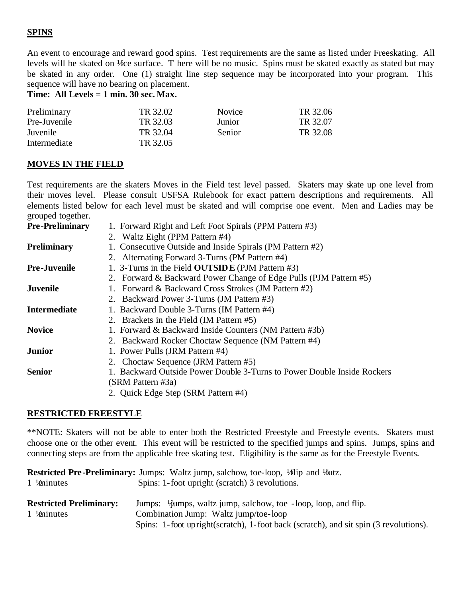### **SPINS**

An event to encourage and reward good spins. Test requirements are the same as listed under Freeskating. All levels will be skated on ½ ce surface. T here will be no music. Spins must be skated exactly as stated but may be skated in any order. One (1) straight line step sequence may be incorporated into your program. This sequence will have no bearing on placement.

**Time: All Levels = 1 min. 30 sec. Max.**

| Preliminary  | TR 32.02 | <b>Novice</b> | TR 32.06 |
|--------------|----------|---------------|----------|
| Pre-Juvenile | TR 32.03 | Junior        | TR 32.07 |
| Juvenile     | TR 32.04 | <b>Senior</b> | TR 32.08 |
| Intermediate | TR 32.05 |               |          |

#### **MOVES IN THE FIELD**

Test requirements are the skaters Moves in the Field test level passed. Skaters may skate up one level from their moves level. Please consult USFSA Rulebook for exact pattern descriptions and requirements. All elements listed below for each level must be skated and will comprise one event. Men and Ladies may be grouped together.

| <b>Pre-Preliminary</b> | 1. Forward Right and Left Foot Spirals (PPM Pattern #3)                 |
|------------------------|-------------------------------------------------------------------------|
|                        | 2. Waltz Eight (PPM Pattern #4)                                         |
| <b>Preliminary</b>     | 1. Consecutive Outside and Inside Spirals (PM Pattern #2)               |
|                        | 2. Alternating Forward 3-Turns (PM Pattern #4)                          |
| <b>Pre-Juvenile</b>    | 1. 3-Turns in the Field <b>OUTSIDE</b> (PJM Pattern #3)                 |
|                        | 2. Forward & Backward Power Change of Edge Pulls (PJM Pattern #5)       |
| Juvenile               | 1. Forward & Backward Cross Strokes (JM Pattern #2)                     |
|                        | 2. Backward Power 3-Turns (JM Pattern #3)                               |
| Intermediate           | 1. Backward Double 3-Turns (IM Pattern #4)                              |
|                        | 2. Brackets in the Field (IM Pattern #5)                                |
| <b>Novice</b>          | 1. Forward & Backward Inside Counters (NM Pattern #3b)                  |
|                        | 2. Backward Rocker Choctaw Sequence (NM Pattern #4)                     |
| Junior                 | 1. Power Pulls (JRM Pattern #4)                                         |
|                        | 2. Choctaw Sequence (JRM Pattern #5)                                    |
| Senior                 | 1. Backward Outside Power Double 3-Turns to Power Double Inside Rockers |
|                        | (SRM Pattern #3a)                                                       |
|                        | 2. Quick Edge Step (SRM Pattern #4)                                     |

#### **RESTRICTED FREESTYLE**

\*\*NOTE: Skaters will not be able to enter both the Restricted Freestyle and Freestyle events. Skaters must choose one or the other event. This event will be restricted to the specified jumps and spins. Jumps, spins and connecting steps are from the applicable free skating test. Eligibility is the same as for the Freestyle Events.

| 1 $\frac{1}{2}$ inutes                                   | <b>Restricted Pre-Preliminary:</b> Jumps: Waltz jump, salchow, toe-loop, Vilip and Valtz.<br>Spins: 1-foot upright (scratch) 3 revolutions.                                                                           |
|----------------------------------------------------------|-----------------------------------------------------------------------------------------------------------------------------------------------------------------------------------------------------------------------|
| <b>Restricted Preliminary:</b><br>1 $\frac{1}{2}$ inutes | Jumps: <sup>1</sup> / <b>jumps</b> , waltz jump, salchow, toe -loop, loop, and flip.<br>Combination Jump: Waltz jump/toe-loop<br>Spins: 1-foot upright(scratch), 1-foot back (scratch), and sit spin (3 revolutions). |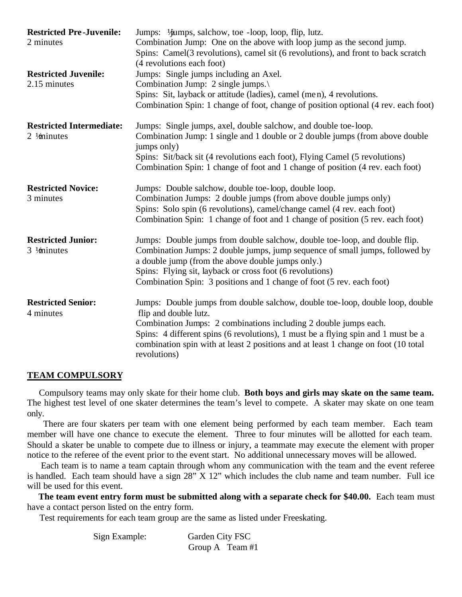| <b>Restricted Pre-Juvenile:</b><br>2 minutes         | Jumps: 1/ <b>jumps</b> , salchow, toe -loop, loop, flip, lutz.<br>Combination Jump: One on the above with loop jump as the second jump.<br>Spins: Camel(3 revolutions), camel sit (6 revolutions), and front to back scratch<br>(4 revolutions each foot)                                                                                                             |
|------------------------------------------------------|-----------------------------------------------------------------------------------------------------------------------------------------------------------------------------------------------------------------------------------------------------------------------------------------------------------------------------------------------------------------------|
| <b>Restricted Juvenile:</b><br>2.15 minutes          | Jumps: Single jumps including an Axel.<br>Combination Jump: 2 single jumps.<br>Spins: Sit, layback or attitude (ladies), camel (men), 4 revolutions.<br>Combination Spin: 1 change of foot, change of position optional (4 rev. each foot)                                                                                                                            |
| <b>Restricted Intermediate:</b><br>2 $1/$ minutes    | Jumps: Single jumps, axel, double salchow, and double toe-loop.<br>Combination Jump: 1 single and 1 double or 2 double jumps (from above double<br>jumps only)<br>Spins: Sit/back sit (4 revolutions each foot), Flying Camel (5 revolutions)<br>Combination Spin: 1 change of foot and 1 change of position (4 rev. each foot)                                       |
| <b>Restricted Novice:</b><br>3 minutes               | Jumps: Double salchow, double toe-loop, double loop.<br>Combination Jumps: 2 double jumps (from above double jumps only)<br>Spins: Solo spin (6 revolutions), camel/change camel (4 rev. each foot)<br>Combination Spin: 1 change of foot and 1 change of position (5 rev. each foot)                                                                                 |
| <b>Restricted Junior:</b><br>$3 \frac{1}{2}$ minutes | Jumps: Double jumps from double salchow, double toe-loop, and double flip.<br>Combination Jumps: 2 double jumps, jump sequence of small jumps, followed by<br>a double jump (from the above double jumps only.)<br>Spins: Flying sit, layback or cross foot (6 revolutions)<br>Combination Spin: 3 positions and 1 change of foot (5 rev. each foot)                  |
| <b>Restricted Senior:</b><br>4 minutes               | Jumps: Double jumps from double salchow, double toe-loop, double loop, double<br>flip and double lutz.<br>Combination Jumps: 2 combinations including 2 double jumps each.<br>Spins: 4 different spins (6 revolutions), 1 must be a flying spin and 1 must be a<br>combination spin with at least 2 positions and at least 1 change on foot (10 total<br>revolutions) |

#### **TEAM COMPULSORY**

 Compulsory teams may only skate for their home club. **Both boys and girls may skate on the same team.** The highest test level of one skater determines the team's level to compete. A skater may skate on one team only.

 There are four skaters per team with one element being performed by each team member. Each team member will have one chance to execute the element. Three to four minutes will be allotted for each team. Should a skater be unable to compete due to illness or injury, a teammate may execute the element with proper notice to the referee of the event prior to the event start. No additional unnecessary moves will be allowed.

 Each team is to name a team captain through whom any communication with the team and the event referee is handled. Each team should have a sign 28" X 12" which includes the club name and team number. Full ice will be used for this event.

 **The team event entry form must be submitted along with a separate check for \$40.00.** Each team must have a contact person listed on the entry form.

Test requirements for each team group are the same as listed under Freeskating.

| Sign Example: | Garden City FSC |
|---------------|-----------------|
|               | Group A Team #1 |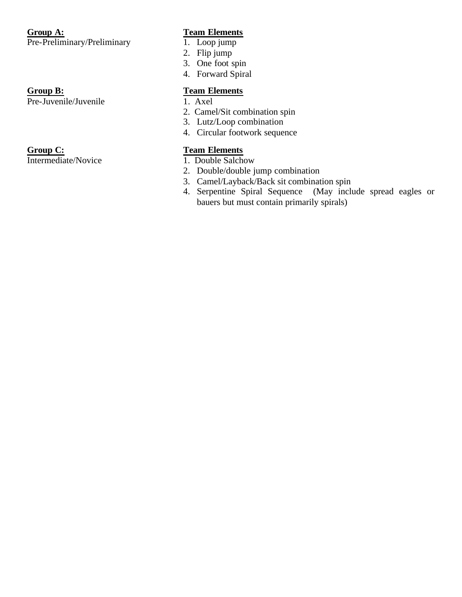#### **Group A: Team Elements**<br> **Pre-Preliminary/Preliminary** 1. Loop jump Pre-Preliminary/Preliminary

Pre-Juvenile/Juvenile 1. Axel

Intermediate/Novice 1. Double Salchow

- 
- 2. Flip jump
- 3. One foot spin
- 4. Forward Spiral

### **Group B: Team Elements**

- 
- 2. Camel/Sit combination spin
- 3. Lutz/Loop combination
- 4. Circular footwork sequence

# **Group C: Team Elements**

- 
- 2. Double/double jump combination
- 3. Camel/Layback/Back sit combination spin
- 4. Serpentine Spiral Sequence (May include spread eagles or bauers but must contain primarily spirals)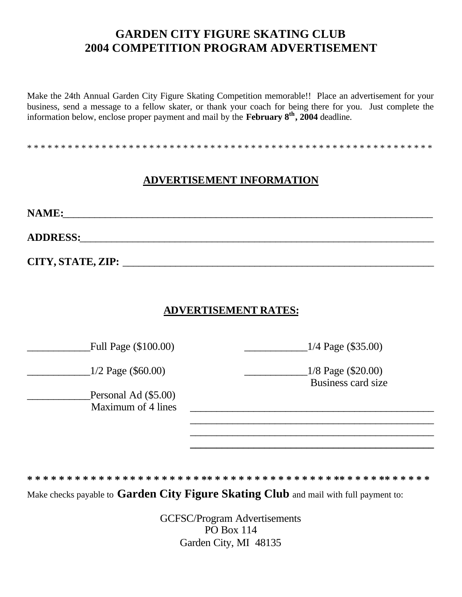# **GARDEN CITY FIGURE SKATING CLUB 2004 COMPETITION PROGRAM ADVERTISEMENT**

Make the 24th Annual Garden City Figure Skating Competition memorable!! Place an advertisement for your business, send a message to a fellow skater, or thank your coach for being there for you. Just complete the information below, enclose proper payment and mail by the **February 8th, 2004** deadline.

\* \* \* \* \* \* \* \* \* \* \* \* \* \* \* \* \* \* \* \* \* \* \* \* \* \* \* \* \* \* \* \* \* \* \* \* \* \* \* \* \* \* \* \* \* \* \* \* \* \* \* \* \* \* \* \* \* \* \* \*

### **ADVERTISEMENT INFORMATION**

**NAME:**\_\_\_\_\_\_\_\_\_\_\_\_\_\_\_\_\_\_\_\_\_\_\_\_\_\_\_\_\_\_\_\_\_\_\_\_\_\_\_\_\_\_\_\_\_\_\_\_\_\_\_\_\_\_\_\_\_\_\_\_\_\_\_\_\_\_\_\_\_\_

**ADDRESS:**\_\_\_\_\_\_\_\_\_\_\_\_\_\_\_\_\_\_\_\_\_\_\_\_\_\_\_\_\_\_\_\_\_\_\_\_\_\_\_\_\_\_\_\_\_\_\_\_\_\_\_\_\_\_\_\_\_\_\_\_\_\_\_\_\_\_\_

**CITY, STATE, ZIP:** \_\_\_\_\_\_\_\_\_\_\_\_\_\_\_\_\_\_\_\_\_\_\_\_\_\_\_\_\_\_\_\_\_\_\_\_\_\_\_\_\_\_\_\_\_\_\_\_\_\_\_\_\_\_\_\_\_\_\_

### **ADVERTISEMENT RATES:**

Full Page (\$100.00)  $1/4$  Page (\$35.00)

\_\_\_\_\_\_\_\_\_\_\_\_1/2 Page (\$60.00) \_\_\_\_\_\_\_\_\_\_\_\_1/8 Page (\$20.00)

Personal Ad (\$5.00) Maximum of 4 lines

Business card size

\_\_\_\_\_\_\_\_\_\_\_\_\_\_\_\_\_\_\_\_\_\_\_\_\_\_\_\_\_\_\_\_\_\_\_\_\_\_\_\_\_\_\_\_\_\_ \_\_\_\_\_\_\_\_\_\_\_\_\_\_\_\_\_\_\_\_\_\_\_\_\_\_\_\_\_\_\_\_\_\_\_\_\_\_\_\_\_\_\_\_\_\_ **\_\_\_\_\_\_\_\_\_\_\_\_\_\_\_\_\_\_\_\_\_\_\_\_\_\_\_\_\_\_\_\_\_\_\_\_\_\_\_\_\_\_\_\_\_\_**

**\* \* \* \* \* \* \* \* \* \* \* \* \* \* \* \* \* \* \* \* \* \* \*\* \* \* \* \* \* \* \* \* \* \* \* \* \* \* \* \*\* \* \* \* \* \*\* \* \* \* \* \*** 

Make checks payable to **Garden City Figure Skating Club** and mail with full payment to:

GCFSC/Program Advertisements PO Box 114 Garden City, MI 48135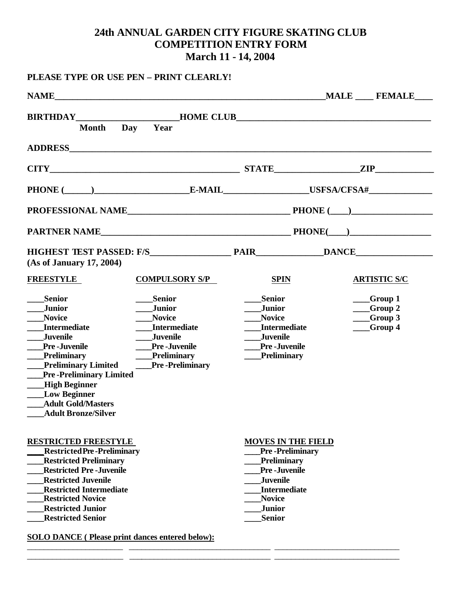# **24th ANNUAL GARDEN CITY FIGURE SKATING CLUB COMPETITION ENTRY FORM March 11 - 14, 2004**

|                                                                                                                                                                                                                                                                                                                                                   | PLEASE TYPE OR USE PEN - PRINT CLEARLY!                                                                                                                          |                                                                                                                                                                                               |                                                                                                                                                                                                                                |
|---------------------------------------------------------------------------------------------------------------------------------------------------------------------------------------------------------------------------------------------------------------------------------------------------------------------------------------------------|------------------------------------------------------------------------------------------------------------------------------------------------------------------|-----------------------------------------------------------------------------------------------------------------------------------------------------------------------------------------------|--------------------------------------------------------------------------------------------------------------------------------------------------------------------------------------------------------------------------------|
|                                                                                                                                                                                                                                                                                                                                                   |                                                                                                                                                                  |                                                                                                                                                                                               |                                                                                                                                                                                                                                |
| <b>Month</b>                                                                                                                                                                                                                                                                                                                                      | Day<br>Year                                                                                                                                                      |                                                                                                                                                                                               |                                                                                                                                                                                                                                |
|                                                                                                                                                                                                                                                                                                                                                   |                                                                                                                                                                  |                                                                                                                                                                                               |                                                                                                                                                                                                                                |
|                                                                                                                                                                                                                                                                                                                                                   |                                                                                                                                                                  |                                                                                                                                                                                               | $CITY$ 2IP                                                                                                                                                                                                                     |
|                                                                                                                                                                                                                                                                                                                                                   |                                                                                                                                                                  |                                                                                                                                                                                               | PHONE (Consumer Le-MAIL Le-MAIL LISFSA/CFSA = LISFSA = LISFSA = LISFSA = LISFSA = LISFSA = LISFSA = LISFSA = LISFSA = LISFSA = LISFSA = LISFSA = LISFSA = LISFSA = LISFSA = LISFSA = LISFSA = LISFSA = LISFSA = LISFSA = LISFS |
|                                                                                                                                                                                                                                                                                                                                                   |                                                                                                                                                                  |                                                                                                                                                                                               |                                                                                                                                                                                                                                |
|                                                                                                                                                                                                                                                                                                                                                   |                                                                                                                                                                  |                                                                                                                                                                                               |                                                                                                                                                                                                                                |
| (As of January 17, 2004)                                                                                                                                                                                                                                                                                                                          |                                                                                                                                                                  |                                                                                                                                                                                               |                                                                                                                                                                                                                                |
| <b>FREESTYLE</b>                                                                                                                                                                                                                                                                                                                                  | <b>COMPULSORY S/P</b>                                                                                                                                            | <b>SPIN</b>                                                                                                                                                                                   | <b>ARTISTIC S/C</b>                                                                                                                                                                                                            |
| <b>Senior</b><br><b>Junior</b><br><b>Novice</b><br><b>Intermediate</b><br><b>Juvenile</b><br><b>Pre-Juvenile</b><br><b>Preliminary</b><br><b>Preliminary Limited</b><br><b>Pre-Preliminary Limited</b><br><b>High Beginner</b><br><b>Low Beginner</b><br><b>Adult Gold/Masters</b><br><b>Adult Bronze/Silver</b>                                  | <b>Senior</b><br><b>Junior</b><br><b>Novice</b><br><b>Intermediate</b><br><b>Juvenile</b><br><b>Pre-Juvenile</b><br><b>Preliminary</b><br><b>Pre-Preliminary</b> | <b>Senior</b><br><b>Junior</b><br><b>Novice</b><br><b>Intermediate</b><br><b>Juvenile</b><br><b>Pre-Juvenile</b><br>Preliminary                                                               | __Group 1<br>__Group 2<br>$\_\_$ Group 3<br>__Group 4                                                                                                                                                                          |
| <b>RESTRICTED FREESTYLE</b><br><b>Restricted Pre-Preliminary</b><br><b>Restricted Preliminary</b><br><b>Restricted Pre-Juvenile</b><br><b>Restricted Juvenile</b><br><b>Restricted Intermediate</b><br><b>Restricted Novice</b><br><b>Restricted Junior</b><br><b>Restricted Senior</b><br><b>SOLO DANCE</b> (Please print dances entered below): |                                                                                                                                                                  | <b>MOVES IN THE FIELD</b><br><b>Pre-Preliminary</b><br><b>Preliminary</b><br><b>Pre-Juvenile</b><br><b>Juvenile</b><br><b>Intermediate</b><br><b>Novice</b><br><b>Junior</b><br><b>Senior</b> |                                                                                                                                                                                                                                |

\_\_\_\_\_\_\_\_\_\_\_\_\_\_\_\_\_\_\_\_\_\_\_ \_\_\_\_\_\_\_\_\_\_\_\_\_\_\_\_\_\_\_\_\_\_\_\_\_\_\_\_\_\_\_\_\_\_ \_\_\_\_\_\_\_\_\_\_\_\_\_\_\_\_\_\_\_\_\_\_\_\_\_\_\_\_\_\_ \_\_\_\_\_\_\_\_\_\_\_\_\_\_\_\_\_\_\_\_\_\_\_ \_\_\_\_\_\_\_\_\_\_\_\_\_\_\_\_\_\_\_\_\_\_\_\_\_\_\_\_\_\_\_\_\_\_ \_\_\_\_\_\_\_\_\_\_\_\_\_\_\_\_\_\_\_\_\_\_\_\_\_\_\_\_\_\_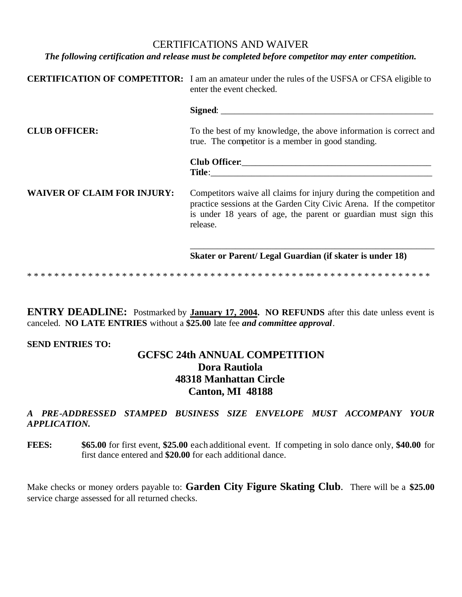#### CERTIFICATIONS AND WAIVER

*The following certification and release must be completed before competitor may enter competition.*

|                                    | <b>CERTIFICATION OF COMPETITOR:</b> I am an amateur under the rules of the USFSA or CFSA eligible to<br>enter the event checked.                                                                                         |  |  |
|------------------------------------|--------------------------------------------------------------------------------------------------------------------------------------------------------------------------------------------------------------------------|--|--|
|                                    |                                                                                                                                                                                                                          |  |  |
| <b>CLUB OFFICER:</b>               | To the best of my knowledge, the above information is correct and<br>true. The competitor is a member in good standing.                                                                                                  |  |  |
|                                    |                                                                                                                                                                                                                          |  |  |
| <b>WAIVER OF CLAIM FOR INJURY:</b> | Competitors waive all claims for injury during the competition and<br>practice sessions at the Garden City Civic Arena. If the competitor<br>is under 18 years of age, the parent or guardian must sign this<br>release. |  |  |
|                                    | Skater or Parent/Legal Guardian (if skater is under 18)                                                                                                                                                                  |  |  |
|                                    |                                                                                                                                                                                                                          |  |  |

**ENTRY DEADLINE:** Postmarked by **January 17, 2004. NO REFUNDS** after this date unless event is canceled. **NO LATE ENTRIES** without a **\$25.00** late fee *and committee approval*.

#### **SEND ENTRIES TO:**

## **GCFSC 24th ANNUAL COMPETITION Dora Rautiola 48318 Manhattan Circle Canton, MI 48188**

*A PRE-ADDRESSED STAMPED BUSINESS SIZE ENVELOPE MUST ACCOMPANY YOUR APPLICATION.*

**FEES: \$65.00** for first event, **\$25.00** each additional event. If competing in solo dance only, **\$40.00** for first dance entered and **\$20.00** for each additional dance.

Make checks or money orders payable to: **Garden City Figure Skating Club**. There will be a **\$25.00** service charge assessed for all returned checks.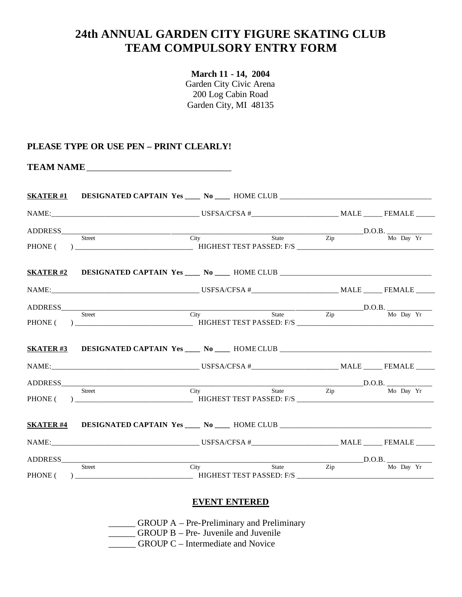# **24th ANNUAL GARDEN CITY FIGURE SKATING CLUB TEAM COMPULSORY ENTRY FORM**

**March 11 - 14, 2004** Garden City Civic Arena 200 Log Cabin Road Garden City, MI 48135

#### **PLEASE TYPE OR USE PEN – PRINT CLEARLY!**

| SKATER#1 DESIGNATED CAPTAIN Yes ____ No ____ HOME CLUB ___________________________ |  |  |  |
|------------------------------------------------------------------------------------|--|--|--|
|                                                                                    |  |  |  |
| ADDRESS Street City State Zip D.O.B. Mo Day Yr                                     |  |  |  |
|                                                                                    |  |  |  |
| SKATER#2 DESIGNATED CAPTAIN Yes ____ No ____ HOME CLUB __________________________  |  |  |  |
|                                                                                    |  |  |  |
| ADDRESS Street City State Zip D.O.B. Mo Day Yr                                     |  |  |  |
|                                                                                    |  |  |  |
| SKATER#3 DESIGNATED CAPTAIN Yes ____ No ____ HOME CLUB __________________________  |  |  |  |
|                                                                                    |  |  |  |
|                                                                                    |  |  |  |
| ADDRESS Street City State Zip D.O.B. No Day Yr                                     |  |  |  |
|                                                                                    |  |  |  |
|                                                                                    |  |  |  |
| ADDRESS Buret City State D.O.B. D.O.B. Mo Day Yr                                   |  |  |  |
|                                                                                    |  |  |  |

#### **EVENT ENTERED**

\_\_\_\_\_\_ GROUP A – Pre-Preliminary and Preliminary

\_\_\_\_\_\_ GROUP B – Pre- Juvenile and Juvenile

GROUP C – Intermediate and Novice